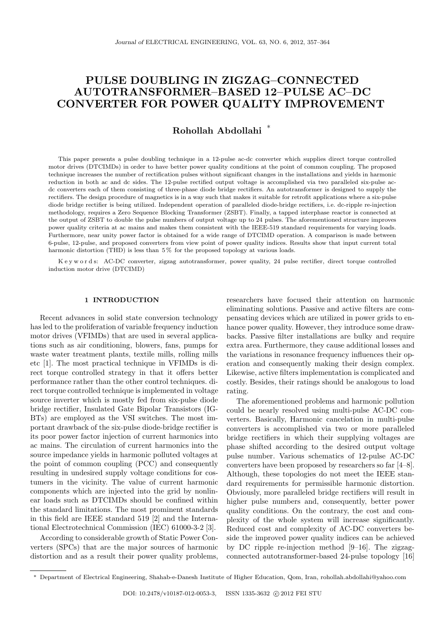# PULSE DOUBLING IN ZIGZAG–CONNECTED AUTOTRANSFORMER–BASED 12–PULSE AC–DC CONVERTER FOR POWER QUALITY IMPROVEMENT

Rohollah Abdollahi ∗

This paper presents a pulse doubling technique in a 12-pulse ac-dc converter which supplies direct torque controlled motor drives (DTCIMDs) in order to have better power quality conditions at the point of common coupling. The proposed technique increases the number of rectification pulses without significant changes in the installations and yields in harmonic reduction in both ac and dc sides. The 12-pulse rectified output voltage is accomplished via two paralleled six-pulse acdc converters each of them consisting of three-phase diode bridge rectifiers. An autotransformer is designed to supply the rectifiers. The design procedure of magnetics is in a way such that makes it suitable for retrofit applications where a six-pulse diode bridge rectifier is being utilized. Independent operation of paralleled diode-bridge rectifiers, i.e. dc-ripple re-injection methodology, requires a Zero Sequence Blocking Transformer (ZSBT). Finally, a tapped interphase reactor is connected at the output of ZSBT to double the pulse numbers of output voltage up to 24 pulses. The aforementioned structure improves power quality criteria at ac mains and makes them consistent with the IEEE-519 standard requirements for varying loads. Furthermore, near unity power factor is obtained for a wide range of DTCIMD operation. A comparison is made between 6-pulse, 12-pulse, and proposed converters from view point of power quality indices. Results show that input current total harmonic distortion (THD) is less than  $5\,\%$  for the proposed topology at various loads.

K e y w o r d s: AC-DC converter, zigzag autotransformer, power quality, 24 pulse rectifier, direct torque controlled induction motor drive (DTCIMD)

# 1 INTRODUCTION

Recent advances in solid state conversion technology has led to the proliferation of variable frequency induction motor drives (VFIMDs) that are used in several applications such as air conditioning, blowers, fans, pumps for waste water treatment plants, textile mills, rolling mills etc [1]. The most practical technique in VFIMDs is direct torque controlled strategy in that it offers better performance rather than the other control techniques. direct torque controlled technique is implemented in voltage source inverter which is mostly fed from six-pulse diode bridge rectifier, Insulated Gate Bipolar Transistors (IG-BTs) are employed as the VSI switches. The most important drawback of the six-pulse diode-bridge rectifier is its poor power factor injection of current harmonics into ac mains. The circulation of current harmonics into the source impedance yields in harmonic polluted voltages at the point of common coupling (PCC) and consequently resulting in undesired supply voltage conditions for costumers in the vicinity. The value of current harmonic components which are injected into the grid by nonlinear loads such as DTCIMDs should be confined within the standard limitations. The most prominent standards in this field are IEEE standard 519 [2] and the International Electrotechnical Commission (IEC) 61000-3-2 [3].

According to considerable growth of Static Power Converters (SPCs) that are the major sources of harmonic distortion and as a result their power quality problems, researchers have focused their attention on harmonic eliminating solutions. Passive and active filters are compensating devices which are utilized in power grids to enhance power quality. However, they introduce some drawbacks. Passive filter installations are bulky and require extra area. Furthermore, they cause additional losses and the variations in resonance frequency influences their operation and consequently making their design complex. Likewise, active filters implementation is complicated and costly. Besides, their ratings should be analogous to load rating.

The aforementioned problems and harmonic pollution could be nearly resolved using multi-pulse AC-DC converters. Basically, Harmonic cancelation in multi-pulse converters is accomplished via two or more paralleled bridge rectifiers in which their supplying voltages are phase shifted according to the desired output voltage pulse number. Various schematics of 12-pulse AC-DC converters have been proposed by researchers so far [4–8]. Although, these topologies do not meet the IEEE standard requirements for permissible harmonic distortion. Obviously, more paralleled bridge rectifiers will result in higher pulse numbers and, consequently, better power quality conditions. On the contrary, the cost and complexity of the whole system will increase significantly. Reduced cost and complexity of AC-DC converters beside the improved power quality indices can be achieved by DC ripple re-injection method [9–16]. The zigzagconnected autotransformer-based 24-pulse topology [16]

<sup>∗</sup> Department of Electrical Engineering, Shahab-e-Danesh Institute of Higher Education, Qom, Iran, rohollah.abdollahi@yahoo.com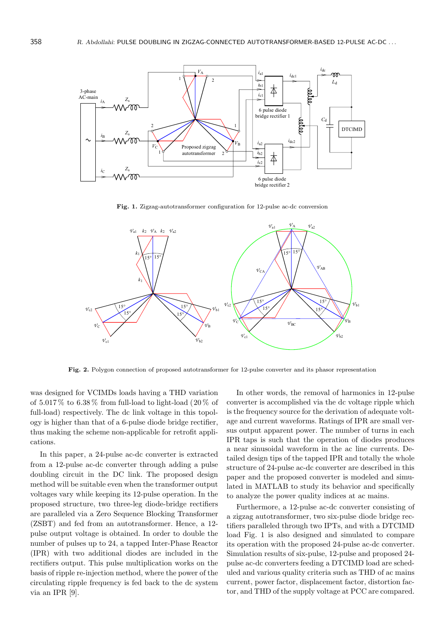

Fig. 1. Zigzag-autotransformer configuration for 12-pulse ac-dc conversion



Fig. 2. Polygon connection of proposed autotransformer for 12-pulse converter and its phasor representation

was designed for VCIMDs loads having a THD variation of  $5.017\%$  to  $6.38\%$  from full-load to light-load (20 % of full-load) respectively. The dc link voltage in this topology is higher than that of a 6-pulse diode bridge rectifier, thus making the scheme non-applicable for retrofit applications.

In this paper, a 24-pulse ac-dc converter is extracted from a 12-pulse ac-dc converter through adding a pulse doubling circuit in the DC link. The proposed design method will be suitable even when the transformer output voltages vary while keeping its 12-pulse operation. In the proposed structure, two three-leg diode-bridge rectifiers are paralleled via a Zero Sequence Blocking Transformer (ZSBT) and fed from an autotransformer. Hence, a 12 pulse output voltage is obtained. In order to double the number of pulses up to 24, a tapped Inter-Phase Reactor (IPR) with two additional diodes are included in the rectifiers output. This pulse multiplication works on the basis of ripple re-injection method, where the power of the circulating ripple frequency is fed back to the dc system via an IPR [9].

In other words, the removal of harmonics in 12-pulse converter is accomplished via the dc voltage ripple which is the frequency source for the derivation of adequate voltage and current waveforms. Ratings of IPR are small versus output apparent power. The number of turns in each IPR taps is such that the operation of diodes produces a near sinusoidal waveform in the ac line currents. Detailed design tips of the tapped IPR and totally the whole structure of 24-pulse ac-dc converter are described in this paper and the proposed converter is modeled and simulated in MATLAB to study its behavior and specifically to analyze the power quality indices at ac mains.

Furthermore, a 12-pulse ac-dc converter consisting of a zigzag autotransformer, two six-pulse diode bridge rectifiers paralleled through two IPTs, and with a DTCIMD load Fig. 1 is also designed and simulated to compare its operation with the proposed 24-pulse ac-dc converter. Simulation results of six-pulse, 12-pulse and proposed 24 pulse ac-dc converters feeding a DTCIMD load are scheduled and various quality criteria such as THD of ac mains current, power factor, displacement factor, distortion factor, and THD of the supply voltage at PCC are compared.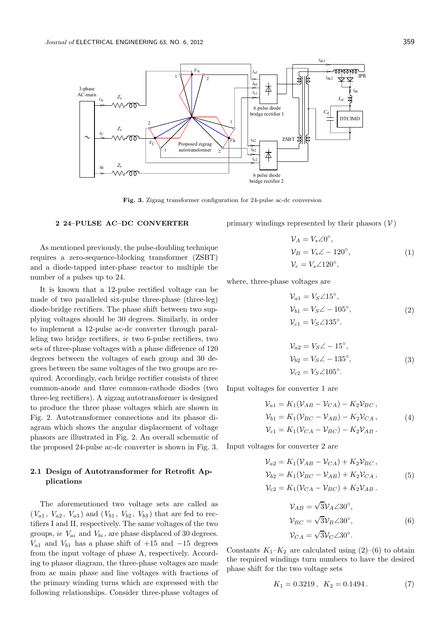

Fig. 3. Zigzag transformer configuration for 24-pulse ac-dc conversion

### 2 24–PULSE AC–DC CONVERTER

As mentioned previously, the pulse-doubling technique requires a zero-sequence-blocking transformer (ZSBT) and a diode-tapped inter-phase reactor to multiple the number of a pulses up to 24.

It is known that a 12-pulse rectified voltage can be made of two paralleled six-pulse three-phase (three-leg) diode-bridge rectifiers. The phase shift between two supplying voltages should be 30 degrees. Similarly, in order to implement a 12-pulse ac-dc converter through paralleling two bridge rectifiers, ie two 6-pulse rectifiers, two sets of three-phase voltages with a phase difference of 120 degrees between the voltages of each group and 30 degrees between the same voltages of the two groups are required. Accordingly, each bridge rectifier consists of three common-anode and three common-cathode diodes (two three-leg rectifiers). A zigzag autotransformer is designed to produce the three phase voltages which are shown in Fig. 2. Autotransformer connections and its phasor diagram which shows the angular displacement of voltage phasors are illustrated in Fig. 2. An overall schematic of the proposed 24-pulse ac-dc converter is shown in Fig. 3.

# 2.1 Design of Autotransformer for Retrofit Applications

The aforementioned two voltage sets are called as  $(V_{a1}, V_{a2}, V_{a3})$  and  $(V_{b1}, V_{b2}, V_{b3})$  that are fed to rectifiers I and II, respectively. The same voltages of the two groups, ie  $V_{ai}$  and  $V_{bi}$ , are phase displaced of 30 degrees.  $V_{a1}$  and  $V_{b1}$  has a phase shift of +15 and -15 degrees from the input voltage of phase A, respectively. According to phasor diagram, the three-phase voltages are made from ac main phase and line voltages with fractions of the primary winding turns which are expressed with the following relationships. Consider three-phase voltages of primary windings represented by their phasors  $(V)$ 

$$
\mathcal{V}_A = V_s \angle 0^\circ,
$$
  
\n
$$
\mathcal{V}_B = V_s \angle - 120^\circ,
$$
  
\n
$$
\mathcal{V}_c = V_s \angle 120^\circ,
$$
\n(1)

where, three-phase voltages are

$$
\mathcal{V}_{a1} = V_S \angle 15^\circ,
$$
  
\n
$$
\mathcal{V}_{b1} = V_S \angle -105^\circ,
$$
  
\n
$$
\mathcal{V}_{c1} = V_S \angle 135^\circ.
$$
\n(2)

$$
\mathcal{V}_{a2} = V_S \angle -15^{\circ}, \n\mathcal{V}_{b2} = V_S \angle -135^{\circ}, \n\mathcal{V}_{c2} = V_S \angle 105^{\circ}.
$$
\n(3)

Input voltages for converter 1 are

$$
\mathcal{V}_{a1} = K_1(\mathcal{V}_{AB} - \mathcal{V}_{CA}) - K_2 \mathcal{V}_{BC}, \n\mathcal{V}_{b1} = K_1(\mathcal{V}_{BC} - \mathcal{V}_{AB}) - K_2 \mathcal{V}_{CA}, \n\mathcal{V}_{c1} = K_1(\mathcal{V}_{CA} - \mathcal{V}_{BC}) - K_2 \mathcal{V}_{AB}.
$$
\n(4)

Input voltages for converter 2 are

$$
\mathcal{V}_{a2} = K_1(\mathcal{V}_{AB} - \mathcal{V}_{CA}) + K_2 \mathcal{V}_{BC}, \n\mathcal{V}_{b2} = K_1(\mathcal{V}_{BC} - \mathcal{V}_{AB}) + K_2 \mathcal{V}_{CA}, \n\mathcal{V}_{c2} = K_1(\mathcal{V}_{CA} - \mathcal{V}_{BC}) + K_2 \mathcal{V}_{AB}.
$$
\n(5)

$$
\mathcal{V}_{AB} = \sqrt{3} \mathcal{V}_A \angle 30^\circ,
$$
  
\n
$$
\mathcal{V}_{BC} = \sqrt{3} \mathcal{V}_B \angle 30^\circ,
$$
  
\n
$$
\mathcal{V}_{CA} = \sqrt{3} \mathcal{V}_C \angle 30^\circ.
$$
\n(6)

Constants  $K_1-K_2$  are calculated using  $(2)-(6)$  to obtain the required windings turn numbers to have the desired phase shift for the two voltage sets

$$
K_1 = 0.3219 \,, \ K_2 = 0.1494 \,. \tag{7}
$$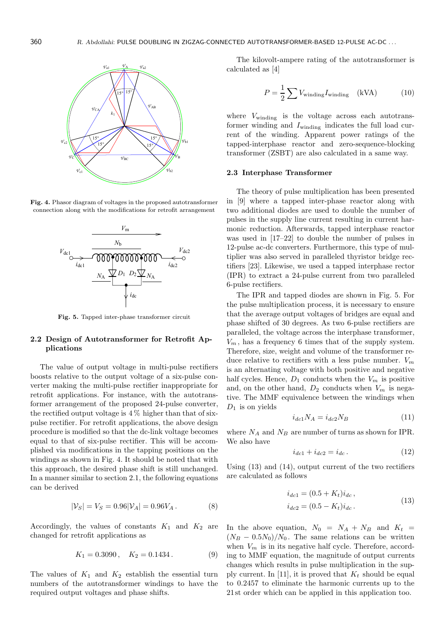

Fig. 4. Phasor diagram of voltages in the proposed autotransformer connection along with the modifications for retrofit arrangement



Fig. 5. Tapped inter-phase transformer circuit

# 2.2 Design of Autotransformer for Retrofit Applications

The value of output voltage in multi-pulse rectifiers boosts relative to the output voltage of a six-pulse converter making the multi-pulse rectifier inappropriate for retrofit applications. For instance, with the autotransformer arrangement of the proposed 24-pulse converter, the rectified output voltage is  $4\%$  higher than that of sixpulse rectifier. For retrofit applications, the above design procedure is modified so that the dc-link voltage becomes equal to that of six-pulse rectifier. This will be accomplished via modifications in the tapping positions on the windings as shown in Fig. 4. It should be noted that with this approach, the desired phase shift is still unchanged. In a manner similar to section 2.1, the following equations can be derived

$$
|\mathcal{V}_S| = V_S = 0.96|\mathcal{V}_A| = 0.96V_A.
$$
 (8)

Accordingly, the values of constants  $K_1$  and  $K_2$  are changed for retrofit applications as

$$
K_1 = 0.3090 \,, \quad K_2 = 0.1434 \,. \tag{9}
$$

The values of  $K_1$  and  $K_2$  establish the essential turn numbers of the autotransformer windings to have the required output voltages and phase shifts.

The kilovolt-ampere rating of the autotransformer is calculated as [4]

$$
P = \frac{1}{2} \sum V_{\text{winding}} I_{\text{winding}} \quad \text{(kVA)} \tag{10}
$$

where  $V_{\text{winding}}$  is the voltage across each autotransformer winding and  $I_{\text{winding}}$  indicates the full load current of the winding. Apparent power ratings of the tapped-interphase reactor and zero-sequence-blocking transformer (ZSBT) are also calculated in a same way.

### 2.3 Interphase Transformer

The theory of pulse multiplication has been presented in [9] where a tapped inter-phase reactor along with two additional diodes are used to double the number of pulses in the supply line current resulting in current harmonic reduction. Afterwards, tapped interphase reactor was used in [17–22] to double the number of pulses in 12-pulse ac-dc converters. Furthermore, this type of multiplier was also served in paralleled thyristor bridge rectifiers [23]. Likewise, we used a tapped interphase rector (IPR) to extract a 24-pulse current from two paralleled 6-pulse rectifiers.

The IPR and tapped diodes are shown in Fig. 5. For the pulse multiplication process, it is necessary to ensure that the average output voltages of bridges are equal and phase shifted of 30 degrees. As two 6-pulse rectifiers are paralleled, the voltage across the interphase transformer,  $V_m$ , has a frequency 6 times that of the supply system. Therefore, size, weight and volume of the transformer reduce relative to rectifiers with a less pulse number.  $V_m$ is an alternating voltage with both positive and negative half cycles. Hence,  $D_1$  conducts when the  $V_m$  is positive and, on the other hand,  $D_2$  conducts when  $V_m$  is negative. The MMF equivalence between the windings when  $D_1$  is on yields

$$
i_{dc1}N_A = i_{dc2}N_B \tag{11}
$$

where  $N_A$  and  $N_B$  are number of turns as shown for IPR. We also have

$$
i_{dc1} + i_{dc2} = i_{dc}.
$$
 (12)

Using  $(13)$  and  $(14)$ , output current of the two rectifiers are calculated as follows

$$
i_{dc1} = (0.5 + K_t)i_{dc},
$$
  
\n
$$
i_{dc2} = (0.5 - K_t)i_{dc}.
$$
\n(13)

In the above equation,  $N_0 = N_A + N_B$  and  $K_t =$  $(N_B - 0.5N_0)/N_0$ . The same relations can be written when  $V_m$  is in its negative half cycle. Therefore, according to MMF equation, the magnitude of output currents changes which results in pulse multiplication in the supply current. In [11], it is proved that  $K_t$  should be equal to 0.2457 to eliminate the harmonic currents up to the 21 st order which can be applied in this application too.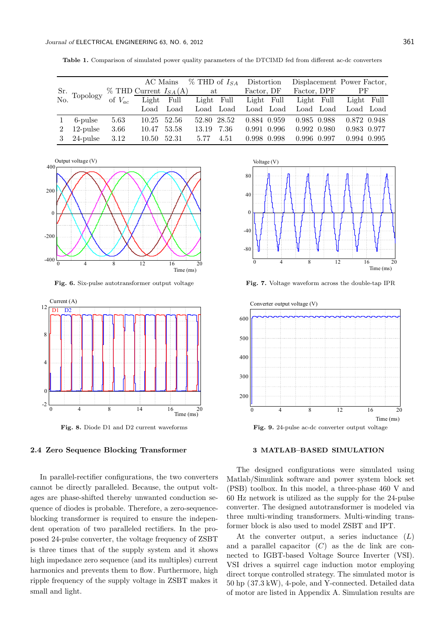|  | <b>Table 1.</b> Comparison of simulated power quality parameters of the DTCIMD fed from different ac-dc converters |  |  |  |  |  |  |  |  |  |
|--|--------------------------------------------------------------------------------------------------------------------|--|--|--|--|--|--|--|--|--|
|--|--------------------------------------------------------------------------------------------------------------------|--|--|--|--|--|--|--|--|--|

|             |                                         |             |                              | AC Mains | $\%$ THD of $I_{SA}$ |      | Distortion  |           |             | Displacement Power Factor, |  |
|-------------|-----------------------------------------|-------------|------------------------------|----------|----------------------|------|-------------|-----------|-------------|----------------------------|--|
|             | $\frac{\text{Sr.}}{\text{No}}$ Topology |             | $\%$ THD Current $I_{SA}(A)$ |          | at                   |      | Factor, DF  |           | Factor, DPF | $\rm PF$                   |  |
|             |                                         | of $V_{ac}$ | Light Full                   |          | Light Full           |      | Light Full  |           | Light Full  | Light Full                 |  |
|             |                                         |             | Load                         | Load     | Load Load            |      |             | Load Load | Load Load   | Load Load                  |  |
|             | 6-pulse                                 | 5.63        | 10.25 52.56                  |          | 52.80 28.52          |      | 0.884 0.959 |           | 0.985 0.988 | 0.872 0.948                |  |
| $2^{\circ}$ | $12$ -pulse                             | 3.66        | 10.47                        | 53.58    | 13.19                | 7.36 | 0.991 0.996 |           | 0.992 0.980 | 0.983 0.977                |  |
|             | $3\quad 24$ -pulse                      | 3.12        | 10.50 52.31                  |          | 5.77                 | 4.51 | 0.998 0.998 |           | 0.996 0.997 | 0.994 0.995                |  |



Fig. 6. Six-pulse autotransformer output voltage



Fig. 8. Diode D1 and D2 current waveforms

### 2.4 Zero Sequence Blocking Transformer

In parallel-rectifier configurations, the two converters cannot be directly paralleled. Because, the output voltages are phase-shifted thereby unwanted conduction sequence of diodes is probable. Therefore, a zero-sequenceblocking transformer is required to ensure the independent operation of two paralleled rectifiers. In the proposed 24-pulse converter, the voltage frequency of ZSBT is three times that of the supply system and it shows high impedance zero sequence (and its multiples) current harmonics and prevents them to flow. Furthermore, high ripple frequency of the supply voltage in ZSBT makes it small and light.



Fig. 7. Voltage waveform across the double-tap IPR



Fig. 9. 24-pulse ac-dc converter output voltage

# 3 MATLAB–BASED SIMULATION

The designed configurations were simulated using Matlab/Simulink software and power system block set (PSB) toolbox. In this model, a three-phase 460 V and 60 Hz network is utilized as the supply for the 24-pulse converter. The designed autotransformer is modeled via three multi-winding transformers. Multi-winding transformer block is also used to model ZSBT and IPT.

At the converter output, a series inductance  $(L)$ and a parallel capacitor  $(C)$  as the dc link are connected to IGBT-based Voltage Source Inverter (VSI). VSI drives a squirrel cage induction motor employing direct torque controlled strategy. The simulated motor is 50 hp (37.3 kW), 4-pole, and Y-connected. Detailed data of motor are listed in Appendix A. Simulation results are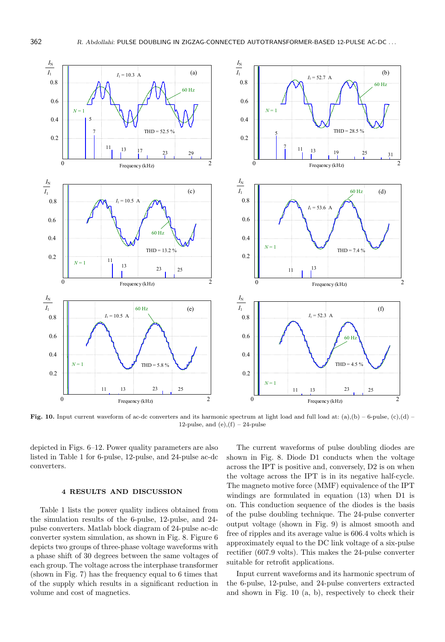

Fig. 10. Input current waveform of ac-dc converters and its harmonic spectrum at light load and full load at:  $(a),(b) - 6$ -pulse,  $(c),(d) -$ 12-pulse, and  $(e)$ , $(f)$  – 24-pulse

depicted in Figs. 6–12. Power quality parameters are also listed in Table 1 for 6-pulse, 12-pulse, and 24-pulse ac-dc converters.

### 4 RESULTS AND DISCUSSION

Table 1 lists the power quality indices obtained from the simulation results of the 6-pulse, 12-pulse, and 24 pulse converters. Matlab block diagram of 24-pulse ac-dc converter system simulation, as shown in Fig. 8. Figure 6 depicts two groups of three-phase voltage waveforms with a phase shift of 30 degrees between the same voltages of each group. The voltage across the interphase transformer (shown in Fig. 7) has the frequency equal to 6 times that of the supply which results in a significant reduction in volume and cost of magnetics.

The current waveforms of pulse doubling diodes are shown in Fig. 8. Diode D1 conducts when the voltage across the IPT is positive and, conversely, D2 is on when the voltage across the IPT is in its negative half-cycle. The magneto motive force (MMF) equivalence of the IPT windings are formulated in equation (13) when D1 is on. This conduction sequence of the diodes is the basis of the pulse doubling technique. The 24-pulse converter output voltage (shown in Fig. 9) is almost smooth and free of ripples and its average value is 606.4 volts which is approximately equal to the DC link voltage of a six-pulse rectifier (607.9 volts). This makes the 24-pulse converter suitable for retrofit applications.

Input current waveforms and its harmonic spectrum of the 6-pulse, 12-pulse, and 24-pulse converters extracted and shown in Fig. 10 (a, b), respectively to check their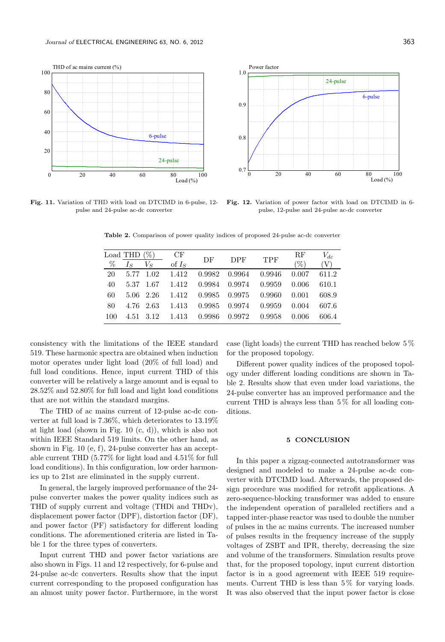

Fig. 11. Variation of THD with load on DTCIMD in 6-pulse, 12 pulse and 24-pulse ac-dc converter

Fig. 12. Variation of power factor with load on DTCIMD in 6 pulse, 12-pulse and 24-pulse ac-dc converter

Table 2. Comparison of power quality indices of proposed 24-pulse ac-dc converter

|      | Load THD $(\%)$ |           | CF       |        |        |            | $_{\rm RF}$ | $V_{dc}$ |
|------|-----------------|-----------|----------|--------|--------|------------|-------------|----------|
| $\%$ | $I_S$           | $V_{S}$   | of $I_S$ | DF     | DPF    | <b>TPF</b> | $\% )$      | (V)      |
| 20   |                 | 5.77 1.02 | 1.412    | 0.9982 | 0.9964 | 0.9946     | 0.007       | 611.2    |
| 40   |                 | 5.37 1.67 | 1.412    | 0.9984 | 0.9974 | 0.9959     | 0.006       | 610.1    |
| 60   |                 | 5.06 2.26 | 1.412    | 0.9985 | 0.9975 | 0.9960     | 0.001       | 608.9    |
| 80   |                 | 4.76 2.63 | 1.413    | 0.9985 | 0.9974 | 0.9959     | 0.004       | 607.6    |
| 100  | 4.51            | 3.12      | 1.413    | 0.9986 | 0.9972 | 0.9958     | 0.006       | 606.4    |

consistency with the limitations of the IEEE standard 519. These harmonic spectra are obtained when induction motor operates under light load (20% of full load) and full load conditions. Hence, input current THD of this converter will be relatively a large amount and is equal to 28.52% and 52.80% for full load and light load conditions that are not within the standard margins.

The THD of ac mains current of 12-pulse ac-dc converter at full load is 7.36%, which deteriorates to 13.19% at light load (shown in Fig. 10 (c, d)), which is also not within IEEE Standard 519 limits. On the other hand, as shown in Fig. 10 (e, f), 24-pulse converter has an acceptable current THD (5.77% for light load and 4.51% for full load conditions). In this configuration, low order harmonics up to 21st are eliminated in the supply current.

In general, the largely improved performance of the 24 pulse converter makes the power quality indices such as THD of supply current and voltage (THDi and THDv), displacement power factor (DPF), distortion factor (DF), and power factor (PF) satisfactory for different loading conditions. The aforementioned criteria are listed in Table 1 for the three types of converters.

Input current THD and power factor variations are also shown in Figs. 11 and 12 respectively, for 6-pulse and 24-pulse ac-dc converters. Results show that the input current corresponding to the proposed configuration has an almost unity power factor. Furthermore, in the worst

case (light loads) the current THD has reached below 5 % for the proposed topology.

Different power quality indices of the proposed topology under different loading conditions are shown in Table 2. Results show that even under load variations, the 24-pulse converter has an improved performance and the current THD is always less than  $5\%$  for all loading conditions.

#### 5 CONCLUSION

In this paper a zigzag-connected autotransformer was designed and modeled to make a 24-pulse ac-dc converter with DTCIMD load. Afterwards, the proposed design procedure was modified for retrofit applications. A zero-sequence-blocking transformer was added to ensure the independent operation of paralleled rectifiers and a tapped inter-phase reactor was used to double the number of pulses in the ac mains currents. The increased number of pulses results in the frequency increase of the supply voltages of ZSBT and IPR, thereby, decreasing the size and volume of the transformers. Simulation results prove that, for the proposed topology, input current distortion factor is in a good agreement with IEEE 519 requirements. Current THD is less than 5 % for varying loads. It was also observed that the input power factor is close